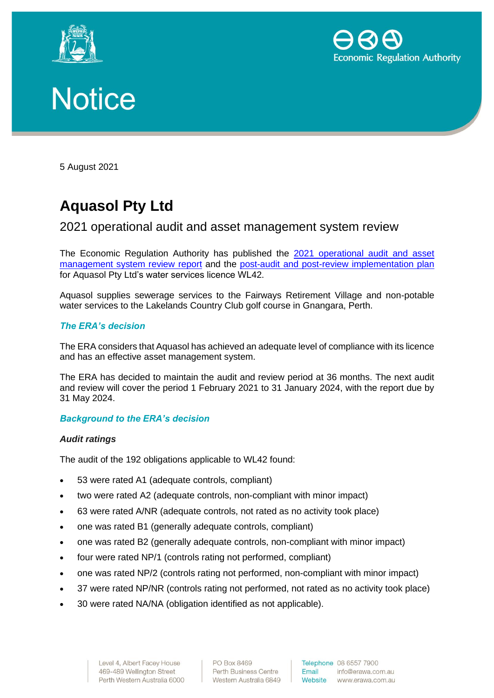





5 August 2021

# **Aquasol Pty Ltd**

# 2021 operational audit and asset management system review

The Economic Regulation Authority has published the 2021 [operational audit and asset](http://www.erawa.com.au/cproot/22103/2/Attachment-1---2021-Audit-and-Review-Report---WL042---Aquasol-Pty-Ltd_Signature-Redacted.PDF)  [management system review](http://www.erawa.com.au/cproot/22103/2/Attachment-1---2021-Audit-and-Review-Report---WL042---Aquasol-Pty-Ltd_Signature-Redacted.PDF) report and the [post-audit and post-review implementation plan](http://www.erawa.com.au/cproot/22104/2/Attachment-2---2021-post-audit-and-post-review-implementation-plan---WL042---Aquasol-Pty-Ltd.PDF) for Aquasol Pty Ltd's water services licence WL42.

Aquasol supplies sewerage services to the Fairways Retirement Village and non-potable water services to the Lakelands Country Club golf course in Gnangara, Perth.

#### *The ERA's decision*

The ERA considers that Aquasol has achieved an adequate level of compliance with its licence and has an effective asset management system.

The ERA has decided to maintain the audit and review period at 36 months. The next audit and review will cover the period 1 February 2021 to 31 January 2024, with the report due by 31 May 2024.

#### *Background to the ERA's decision*

#### *Audit ratings*

The audit of the 192 obligations applicable to WL42 found:

- 53 were rated A1 (adequate controls, compliant)
- two were rated A2 (adequate controls, non-compliant with minor impact)
- 63 were rated A/NR (adequate controls, not rated as no activity took place)
- one was rated B1 (generally adequate controls, compliant)
- one was rated B2 (generally adequate controls, non-compliant with minor impact)
- four were rated NP/1 (controls rating not performed, compliant)
- one was rated NP/2 (controls rating not performed, non-compliant with minor impact)
- 37 were rated NP/NR (controls rating not performed, not rated as no activity took place)
- 30 were rated NA/NA (obligation identified as not applicable).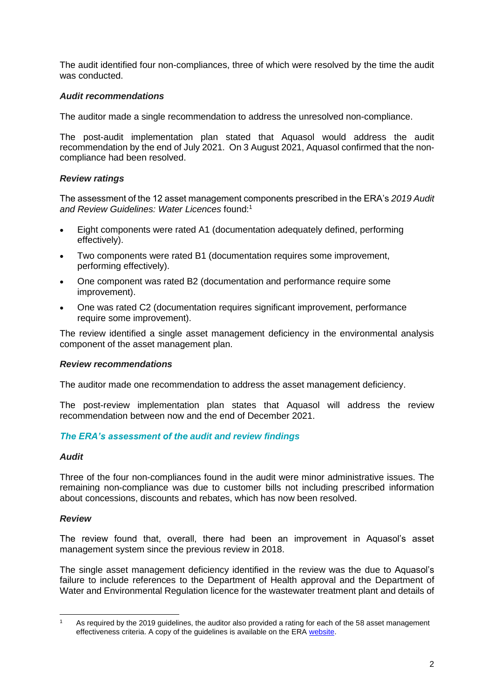The audit identified four non-compliances, three of which were resolved by the time the audit was conducted.

### *Audit recommendations*

The auditor made a single recommendation to address the unresolved non-compliance.

The post-audit implementation plan stated that Aquasol would address the audit recommendation by the end of July 2021. On 3 August 2021, Aquasol confirmed that the noncompliance had been resolved.

#### *Review ratings*

The assessment of the 12 asset management components prescribed in the ERA's *2019 Audit and Review Guidelines: Water Licences* found:<sup>1</sup>

- Eight components were rated A1 (documentation adequately defined, performing effectively).
- Two components were rated B1 (documentation requires some improvement, performing effectively).
- One component was rated B2 (documentation and performance require some improvement).
- One was rated C2 (documentation requires significant improvement, performance require some improvement).

The review identified a single asset management deficiency in the environmental analysis component of the asset management plan.

#### *Review recommendations*

The auditor made one recommendation to address the asset management deficiency.

The post-review implementation plan states that Aquasol will address the review recommendation between now and the end of December 2021.

#### *The ERA's assessment of the audit and review findings*

#### *Audit*

Three of the four non-compliances found in the audit were minor administrative issues. The remaining non-compliance was due to customer bills not including prescribed information about concessions, discounts and rebates, which has now been resolved.

#### *Review*

The review found that, overall, there had been an improvement in Aquasol's asset management system since the previous review in 2018.

The single asset management deficiency identified in the review was the due to Aquasol's failure to include references to the Department of Health approval and the Department of Water and Environmental Regulation licence for the wastewater treatment plant and details of

<sup>&</sup>lt;sup>1</sup> As required by the 2019 quidelines, the auditor also provided a rating for each of the 58 asset management effectiveness criteria. A copy of the guidelines is available on the ERA [website.](https://www.erawa.com.au/water/water-licensing/regulatory-guidelines)